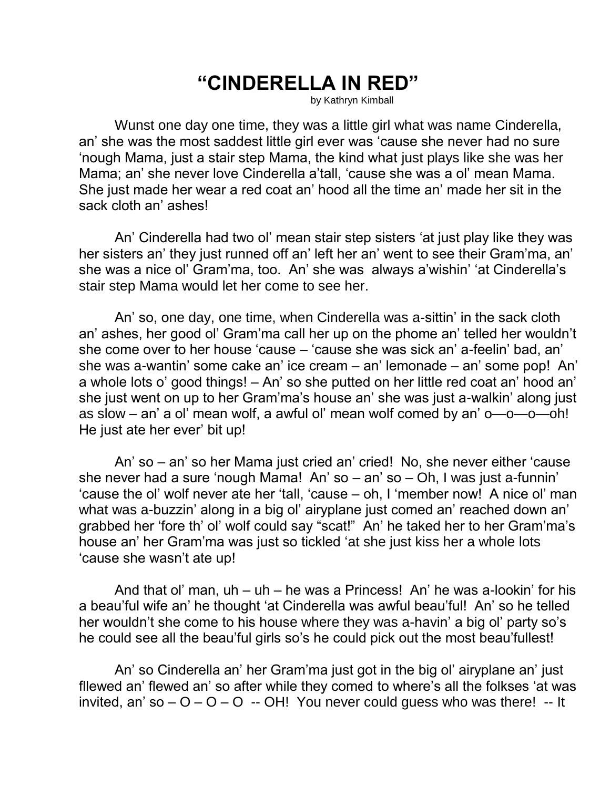## **"CINDERELLA IN RED"**

by Kathryn Kimball

Wunst one day one time, they was a little girl what was name Cinderella, an' she was the most saddest little girl ever was 'cause she never had no sure 'nough Mama, just a stair step Mama, the kind what just plays like she was her Mama; an' she never love Cinderella a'tall, 'cause she was a ol' mean Mama. She just made her wear a red coat an' hood all the time an' made her sit in the sack cloth an' ashes!

An' Cinderella had two ol' mean stair step sisters 'at just play like they was her sisters an' they just runned off an' left her an' went to see their Gram'ma, an' she was a nice ol' Gram'ma, too. An' she was always a'wishin' 'at Cinderella's stair step Mama would let her come to see her.

An' so, one day, one time, when Cinderella was a-sittin' in the sack cloth an' ashes, her good ol' Gram'ma call her up on the phome an' telled her wouldn't she come over to her house 'cause – 'cause she was sick an' a-feelin' bad, an' she was a-wantin' some cake an' ice cream – an' lemonade – an' some pop! An' a whole lots o' good things! – An' so she putted on her little red coat an' hood an' she just went on up to her Gram'ma's house an' she was just a-walkin' along just as slow – an' a ol' mean wolf, a awful ol' mean wolf comed by an' o—o—o—oh! He just ate her ever' bit up!

An' so – an' so her Mama just cried an' cried! No, she never either 'cause she never had a sure 'nough Mama! An' so – an' so – Oh, I was just a-funnin' 'cause the ol' wolf never ate her 'tall, 'cause – oh, I 'member now! A nice ol' man what was a-buzzin' along in a big ol' airyplane just comed an' reached down an' grabbed her 'fore th' ol' wolf could say "scat!" An' he taked her to her Gram'ma's house an' her Gram'ma was just so tickled 'at she just kiss her a whole lots 'cause she wasn't ate up!

And that ol' man, uh – uh – he was a Princess! An' he was a-lookin' for his a beau'ful wife an' he thought 'at Cinderella was awful beau'ful! An' so he telled her wouldn't she come to his house where they was a-havin' a big ol' party so's he could see all the beau'ful girls so's he could pick out the most beau'fullest!

An' so Cinderella an' her Gram'ma just got in the big ol' airyplane an' just fllewed an' flewed an' so after while they comed to where's all the folkses 'at was invited, an' so  $-$  O  $-$  O  $-$  O  $-$  OH! You never could guess who was there!  $-$  It